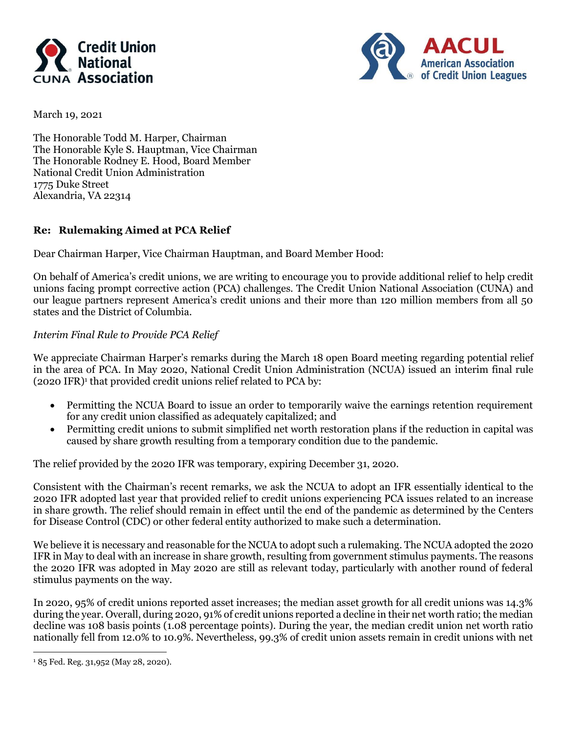



March 19, 2021

The Honorable Todd M. Harper, Chairman The Honorable Kyle S. Hauptman, Vice Chairman The Honorable Rodney E. Hood, Board Member National Credit Union Administration 1775 Duke Street Alexandria, VA 22314

# **Re: Rulemaking Aimed at PCA Relief**

Dear Chairman Harper, Vice Chairman Hauptman, and Board Member Hood:

On behalf of America's credit unions, we are writing to encourage you to provide additional relief to help credit unions facing prompt corrective action (PCA) challenges. The Credit Union National Association (CUNA) and our league partners represent America's credit unions and their more than 120 million members from all 50 states and the District of Columbia.

## *Interim Final Rule to Provide PCA Relief*

We appreciate Chairman Harper's remarks during the March 18 open Board meeting regarding potential relief in the area of PCA. In May 2020, National Credit Union Administration (NCUA) issued an interim final rule (2020 IFR) 1 that provided credit unions relief related to PCA by:

- Permitting the NCUA Board to issue an order to temporarily waive the earnings retention requirement for any credit union classified as adequately capitalized; and
- Permitting credit unions to submit simplified net worth restoration plans if the reduction in capital was caused by share growth resulting from a temporary condition due to the pandemic.

The relief provided by the 2020 IFR was temporary, expiring December 31, 2020.

Consistent with the Chairman's recent remarks, we ask the NCUA to adopt an IFR essentially identical to the 2020 IFR adopted last year that provided relief to credit unions experiencing PCA issues related to an increase in share growth. The relief should remain in effect until the end of the pandemic as determined by the Centers for Disease Control (CDC) or other federal entity authorized to make such a determination.

We believe it is necessary and reasonable for the NCUA to adopt such a rulemaking. The NCUA adopted the 2020 IFR in May to deal with an increase in share growth, resulting from government stimulus payments. The reasons the 2020 IFR was adopted in May 2020 are still as relevant today, particularly with another round of federal stimulus payments on the way.

In 2020, 95% of credit unions reported asset increases; the median asset growth for all credit unions was 14.3% during the year. Overall, during 2020, 91% of credit unions reported a decline in their net worth ratio; the median decline was 108 basis points (1.08 percentage points). During the year, the median credit union net worth ratio nationally fell from 12.0% to 10.9%. Nevertheless, 99.3% of credit union assets remain in credit unions with net

<sup>1</sup> 85 Fed. Reg. 31,952 (May 28, 2020).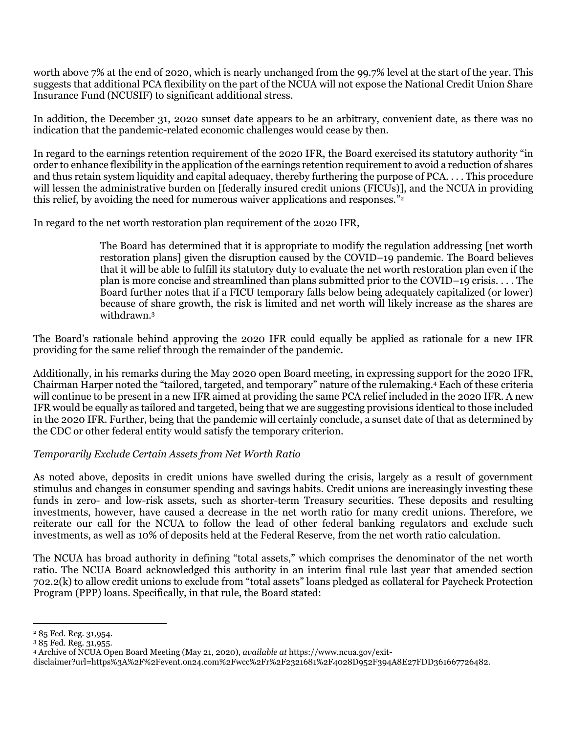worth above 7% at the end of 2020, which is nearly unchanged from the 99.7% level at the start of the year. This suggests that additional PCA flexibility on the part of the NCUA will not expose the National Credit Union Share Insurance Fund (NCUSIF) to significant additional stress.

In addition, the December 31, 2020 sunset date appears to be an arbitrary, convenient date, as there was no indication that the pandemic-related economic challenges would cease by then.

In regard to the earnings retention requirement of the 2020 IFR, the Board exercised its statutory authority "in order to enhance flexibility in the application of the earnings retention requirement to avoid a reduction of shares and thus retain system liquidity and capital adequacy, thereby furthering the purpose of PCA. . . . This procedure will lessen the administrative burden on [federally insured credit unions (FICUs)], and the NCUA in providing this relief, by avoiding the need for numerous waiver applications and responses." 2

In regard to the net worth restoration plan requirement of the 2020 IFR,

The Board has determined that it is appropriate to modify the regulation addressing [net worth restoration plans] given the disruption caused by the COVID–19 pandemic. The Board believes that it will be able to fulfill its statutory duty to evaluate the net worth restoration plan even if the plan is more concise and streamlined than plans submitted prior to the COVID–19 crisis. . . . The Board further notes that if a FICU temporary falls below being adequately capitalized (or lower) because of share growth, the risk is limited and net worth will likely increase as the shares are withdrawn.<sup>3</sup>

The Board's rationale behind approving the 2020 IFR could equally be applied as rationale for a new IFR providing for the same relief through the remainder of the pandemic.

Additionally, in his remarks during the May 2020 open Board meeting, in expressing support for the 2020 IFR, Chairman Harper noted the "tailored, targeted, and temporary" nature of the rulemaking.<sup>4</sup> Each of these criteria will continue to be present in a new IFR aimed at providing the same PCA relief included in the 2020 IFR. A new IFR would be equally as tailored and targeted, being that we are suggesting provisions identical to those included in the 2020 IFR. Further, being that the pandemic will certainly conclude, a sunset date of that as determined by the CDC or other federal entity would satisfy the temporary criterion.

# *Temporarily Exclude Certain Assets from Net Worth Ratio*

As noted above, deposits in credit unions have swelled during the crisis, largely as a result of government stimulus and changes in consumer spending and savings habits. Credit unions are increasingly investing these funds in zero- and low-risk assets, such as shorter-term Treasury securities. These deposits and resulting investments, however, have caused a decrease in the net worth ratio for many credit unions. Therefore, we reiterate our call for the NCUA to follow the lead of other federal banking regulators and exclude such investments, as well as 10% of deposits held at the Federal Reserve, from the net worth ratio calculation.

The NCUA has broad authority in defining "total assets," which comprises the denominator of the net worth ratio. The NCUA Board acknowledged this authority in an interim final rule last year that amended section 702.2(k) to allow credit unions to exclude from "total assets" loans pledged as collateral for Paycheck Protection Program (PPP) loans. Specifically, in that rule, the Board stated:

<sup>2</sup> 85 Fed. Reg. 31,954.

<sup>3</sup> 85 Fed. Reg. 31,955.

<sup>4</sup> Archive of NCUA Open Board Meeting (May 21, 2020), *available at* https://www.ncua.gov/exit-

disclaimer?url=https%3A%2F%2Fevent.on24.com%2Fwcc%2Fr%2F2321681%2F4028D952F394A8E27FDD361667726482.